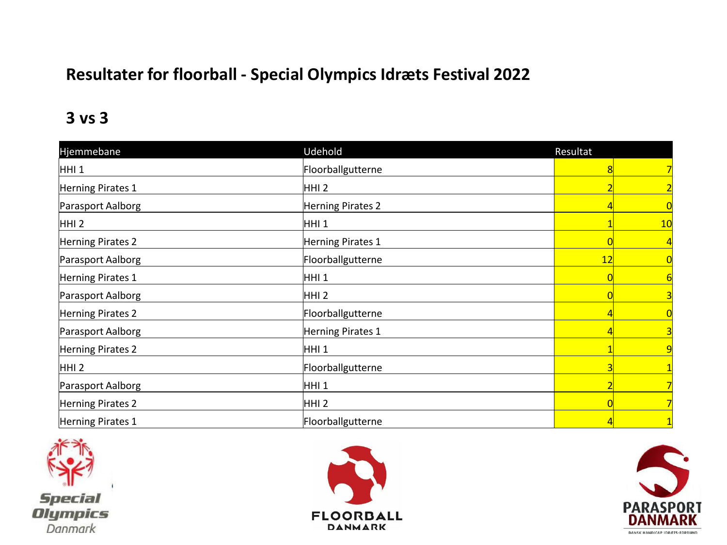### **Resultater for floorball - Special Olympics Idræts Festival 2022**

#### **3 vs 3**

| Hjemmebane        | Udehold           | Resultat |                |
|-------------------|-------------------|----------|----------------|
| HHI <sub>1</sub>  | Floorballgutterne |          |                |
| Herning Pirates 1 | HHI <sub>2</sub>  |          |                |
| Parasport Aalborg | Herning Pirates 2 |          |                |
| $HHI$ 2           | HHI 1             |          | 10             |
| Herning Pirates 2 | Herning Pirates 1 |          |                |
| Parasport Aalborg | Floorballgutterne | 12       | $\overline{0}$ |
| Herning Pirates 1 | HHI <sub>1</sub>  |          | 6              |
| Parasport Aalborg | HHI <sub>2</sub>  |          | 3              |
| Herning Pirates 2 | Floorballgutterne |          | 0              |
| Parasport Aalborg | Herning Pirates 1 |          | 3              |
| Herning Pirates 2 | HHI 1             |          | 9              |
| $HHI$ 2           | Floorballgutterne |          |                |
| Parasport Aalborg | HHI 1             |          | 7              |
| Herning Pirates 2 | HHI <sub>2</sub>  |          | 7              |
| Herning Pirates 1 | Floorballgutterne |          |                |





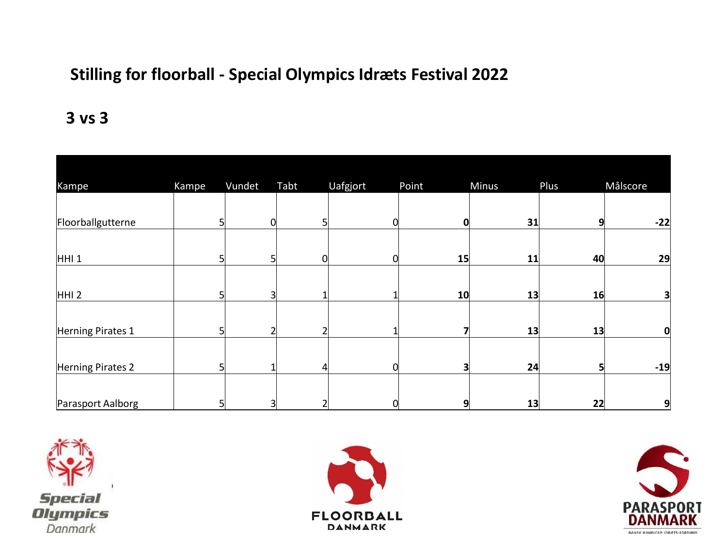## **Stilling for floorball - Special Olympics Idræts Festival 2022**

#### **3 vs 3**

| Kampe             | Kampe | Vundet | Tabt | Uafgjort | Point | Minus | Plus | Målscore |
|-------------------|-------|--------|------|----------|-------|-------|------|----------|
|                   |       |        |      |          |       |       |      |          |
| Floorballgutterne |       | 0      |      |          | Ω     | 31    | 9    | $-22$    |
|                   |       |        |      |          |       |       |      |          |
| HHI <sub>1</sub>  |       | 5      | 0    |          | 15    | 11    | 40   | 29       |
|                   |       |        |      |          |       |       |      |          |
| HHI <sub>2</sub>  |       | 3      |      |          | 10    | 13    | 16   | 3        |
|                   |       |        |      |          |       |       |      |          |
| Herning Pirates 1 |       |        |      |          |       | 13    | 13   | 0        |
|                   |       |        |      |          |       |       |      |          |
| Herning Pirates 2 |       |        | 4    |          |       | 24    | 5    | $-19$    |
|                   |       |        |      |          |       |       |      |          |
| Parasport Aalborg |       | 3      |      |          | q     | 13    | 22   | 9        |





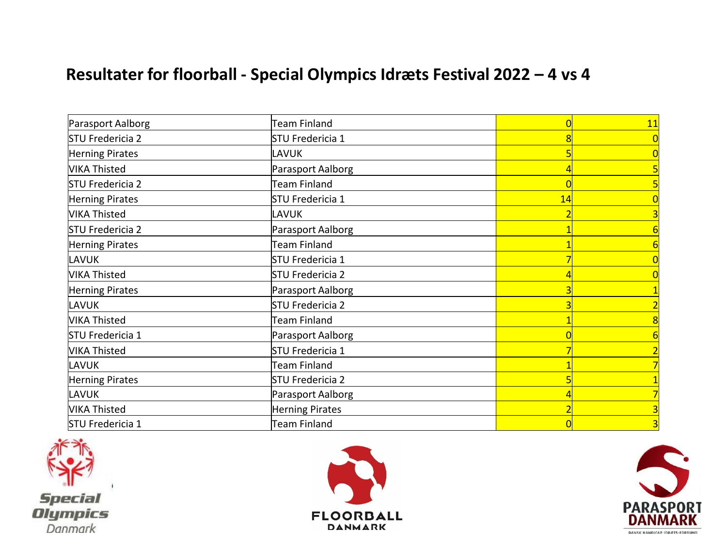### **Resultater for floorball - Special Olympics Idræts Festival 2022 – 4 vs 4**

| Parasport Aalborg      | <b>Team Finland</b> |    | 11 |
|------------------------|---------------------|----|----|
| STU Fredericia 2       | STU Fredericia 1    |    |    |
| Herning Pirates        | LAVUK               |    |    |
| <b>VIKA Thisted</b>    | Parasport Aalborg   |    |    |
| STU Fredericia 2       | <b>Team Finland</b> |    |    |
| <b>Herning Pirates</b> | STU Fredericia 1    | 14 |    |
| <b>VIKA Thisted</b>    | LAVUK               |    |    |
| STU Fredericia 2       | Parasport Aalborg   |    |    |
| Herning Pirates        | Team Finland        |    |    |
| LAVUK                  | STU Fredericia 1    |    |    |
| <b>VIKA Thisted</b>    | STU Fredericia 2    |    |    |
| Herning Pirates        | Parasport Aalborg   |    |    |
| LAVUK                  | STU Fredericia 2    |    |    |
| <b>VIKA Thisted</b>    | <b>Team Finland</b> |    |    |
| STU Fredericia 1       | Parasport Aalborg   |    |    |
| VIKA Thisted           | STU Fredericia 1    |    |    |
| LAVUK                  | <b>Team Finland</b> |    |    |
| Herning Pirates        | STU Fredericia 2    |    |    |
| LAVUK                  | Parasport Aalborg   |    |    |
| <b>VIKA Thisted</b>    | Herning Pirates     |    |    |
| STU Fredericia 1       | <b>Team Finland</b> |    | 3  |